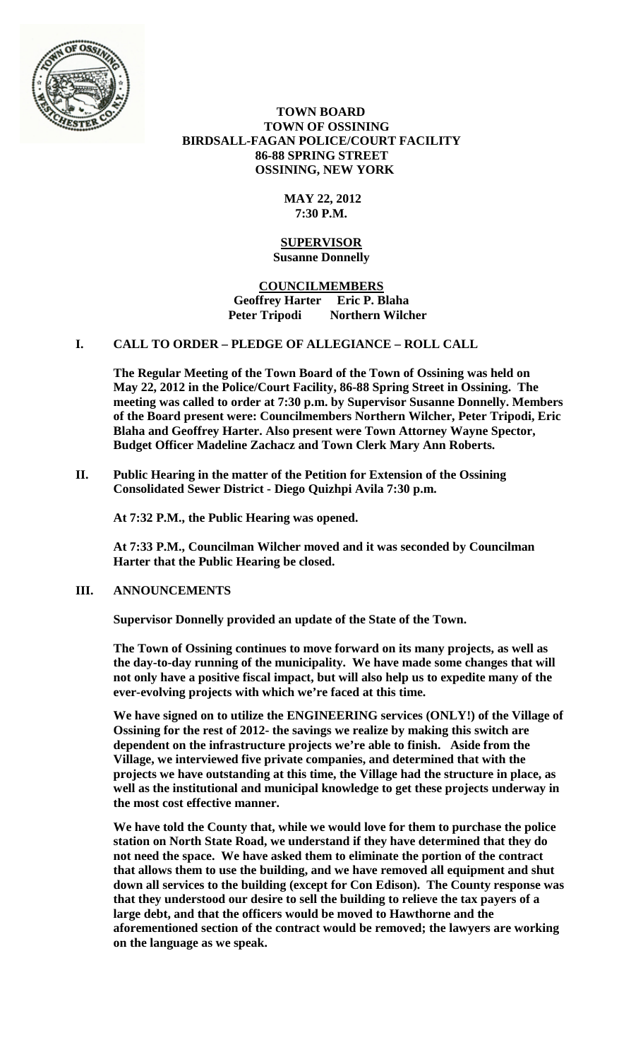

# **TOWN BOARD TOWN OF OSSINING BIRDSALL-FAGAN POLICE/COURT FACILITY 86-88 SPRING STREET OSSINING, NEW YORK**

# **MAY 22, 2012 7:30 P.M.**

#### **SUPERVISOR Susanne Donnelly**

# **COUNCILMEMBERS Geoffrey Harter Eric P. Blaha Peter Tripodi Northern Wilcher**

# **I. CALL TO ORDER – PLEDGE OF ALLEGIANCE – ROLL CALL**

**The Regular Meeting of the Town Board of the Town of Ossining was held on May 22, 2012 in the Police/Court Facility, 86-88 Spring Street in Ossining. The meeting was called to order at 7:30 p.m. by Supervisor Susanne Donnelly. Members of the Board present were: Councilmembers Northern Wilcher, Peter Tripodi, Eric Blaha and Geoffrey Harter. Also present were Town Attorney Wayne Spector, Budget Officer Madeline Zachacz and Town Clerk Mary Ann Roberts.**

**II. Public Hearing in the matter of the Petition for Extension of the Ossining Consolidated Sewer District - Diego Quizhpi Avila 7:30 p.m.**

**At 7:32 P.M., the Public Hearing was opened.**

**At 7:33 P.M., Councilman Wilcher moved and it was seconded by Councilman Harter that the Public Hearing be closed.**

# **III. ANNOUNCEMENTS**

**Supervisor Donnelly provided an update of the State of the Town.**

**The Town of Ossining continues to move forward on its many projects, as well as the day-to-day running of the municipality. We have made some changes that will not only have a positive fiscal impact, but will also help us to expedite many of the ever-evolving projects with which we're faced at this time.**

**We have signed on to utilize the ENGINEERING services (ONLY!) of the Village of Ossining for the rest of 2012- the savings we realize by making this switch are dependent on the infrastructure projects we're able to finish. Aside from the Village, we interviewed five private companies, and determined that with the projects we have outstanding at this time, the Village had the structure in place, as well as the institutional and municipal knowledge to get these projects underway in the most cost effective manner.**

**We have told the County that, while we would love for them to purchase the police station on North State Road, we understand if they have determined that they do not need the space. We have asked them to eliminate the portion of the contract that allows them to use the building, and we have removed all equipment and shut down all services to the building (except for Con Edison). The County response was that they understood our desire to sell the building to relieve the tax payers of a large debt, and that the officers would be moved to Hawthorne and the aforementioned section of the contract would be removed; the lawyers are working on the language as we speak.**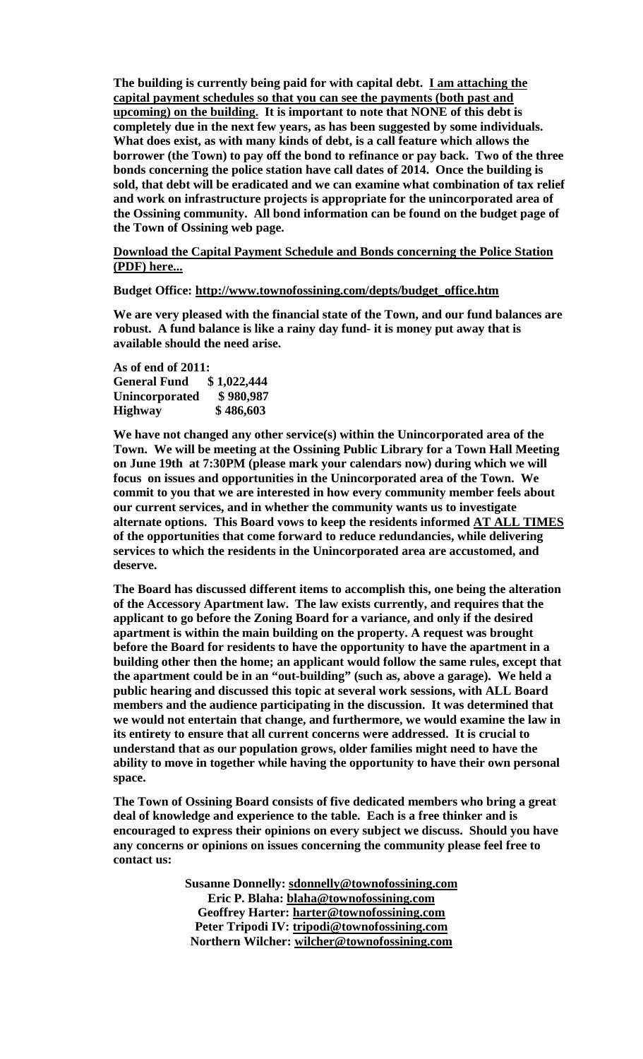**The building is currently being paid for with capital debt. [I am attaching the](http://click.icptrack.com/icp/relay.php?r=26320228&msgid=556134&act=16G6&c=269831&destination=http%3A%2F%2Fwww.townofossining.com%2Fdocs%2Fbudget%2FPoliceDebt.pdf)  [capital payment schedules so that you can see the payments \(both past and](http://click.icptrack.com/icp/relay.php?r=26320228&msgid=556134&act=16G6&c=269831&destination=http%3A%2F%2Fwww.townofossining.com%2Fdocs%2Fbudget%2FPoliceDebt.pdf)  [upcoming\) on the building.](http://click.icptrack.com/icp/relay.php?r=26320228&msgid=556134&act=16G6&c=269831&destination=http%3A%2F%2Fwww.townofossining.com%2Fdocs%2Fbudget%2FPoliceDebt.pdf) It is important to note that NONE of this debt is completely due in the next few years, as has been suggested by some individuals. What does exist, as with many kinds of debt, is a call feature which allows the borrower (the Town) to pay off the bond to refinance or pay back. Two of the three bonds concerning the police station have call dates of 2014. Once the building is sold, that debt will be eradicated and we can examine what combination of tax relief and work on infrastructure projects is appropriate for the unincorporated area of the Ossining community. All bond information can be found on the budget page of the Town of Ossining web page.**

**[Download the Capital Payment Schedule and Bonds concerning the Police Station](http://click.icptrack.com/icp/relay.php?r=26320228&msgid=556134&act=16G6&c=269831&destination=http%3A%2F%2Fwww.townofossining.com%2Fdocs%2Fbudget%2FPoliceDebt.pdf)  [\(PDF\) here...](http://click.icptrack.com/icp/relay.php?r=26320228&msgid=556134&act=16G6&c=269831&destination=http%3A%2F%2Fwww.townofossining.com%2Fdocs%2Fbudget%2FPoliceDebt.pdf)**

**Budget Office: [http://www.townofossining.com/depts/budget\\_office.htm](http://click.icptrack.com/icp/relay.php?r=26320228&msgid=556134&act=16G6&c=269831&destination=http%3A%2F%2Fwww.townofossining.com%2Fdepts%2Fbudget_office.htm)**

**We are very pleased with the financial state of the Town, and our fund balances are robust. A fund balance is like a rainy day fund- it is money put away that is available should the need arise.**

#### **As of end of 2011: General Fund Unincorporated \$ 980,987 Highway \$ 486,603**

**We have not changed any other service(s) within the Unincorporated area of the Town. We will be meeting at the Ossining Public Library for a Town Hall Meeting on June 19th at 7:30PM (please mark your calendars now) during which we will focus on issues and opportunities in the Unincorporated area of the Town. We commit to you that we are interested in how every community member feels about our current services, and in whether the community wants us to investigate alternate options. This Board vows to keep the residents informed AT ALL TIMES of the opportunities that come forward to reduce redundancies, while delivering services to which the residents in the Unincorporated area are accustomed, and deserve.**

**The Board has discussed different items to accomplish this, one being the alteration of the Accessory Apartment law. The law exists currently, and requires that the applicant to go before the Zoning Board for a variance, and only if the desired apartment is within the main building on the property. A request was brought before the Board for residents to have the opportunity to have the apartment in a building other then the home; an applicant would follow the same rules, except that the apartment could be in an "out-building" (such as, above a garage). We held a public hearing and discussed this topic at several work sessions, with ALL Board members and the audience participating in the discussion. It was determined that we would not entertain that change, and furthermore, we would examine the law in its entirety to ensure that all current concerns were addressed. It is crucial to understand that as our population grows, older families might need to have the ability to move in together while having the opportunity to have their own personal space.**

**The Town of Ossining Board consists of five dedicated members who bring a great deal of knowledge and experience to the table. Each is a free thinker and is encouraged to express their opinions on every subject we discuss. Should you have any concerns or opinions on issues concerning the community please feel free to contact us:**

> **Susanne Donnelly: [sdonnelly@townofossining.com](mailto:sdonnelly@townofossining.com) Eric P. Blaha: [blaha@townofossining.com](mailto:blaha@townofossining.com) Geoffrey Harter: [harter@townofossining.com](mailto:harter@townofossining.com) Peter Tripodi IV: [tripodi@townofossining.com](mailto:tripodi@townofossining.com) Northern Wilcher: [wilcher@townofossining.com](mailto:wilcher@townofossining.com)**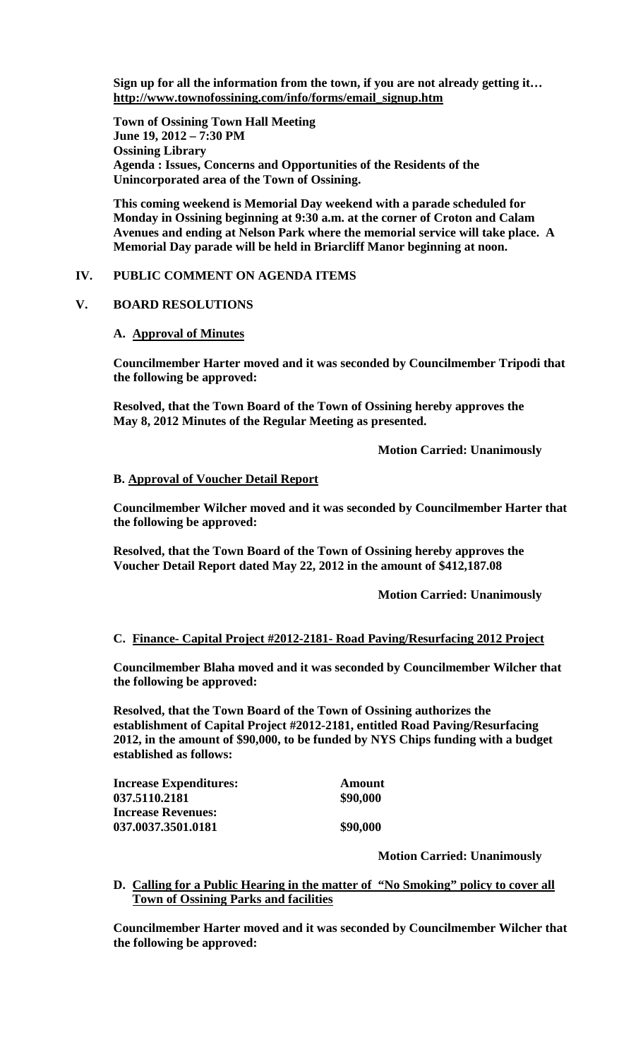**Sign up for all the information from the town, if you are not already getting it… [http://www.townofossining.com/info/forms/email\\_signup.htm](http://click.icptrack.com/icp/relay.php?r=26320228&msgid=556134&act=16G6&c=269831&destination=http%3A%2F%2Fwww.townofossining.com%2Finfo%2Fforms%2Femail_signup.htm)**

**Town of Ossining Town Hall Meeting June 19, 2012 – 7:30 PM Ossining Library Agenda : Issues, Concerns and Opportunities of the Residents of the Unincorporated area of the Town of Ossining.**

**This coming weekend is Memorial Day weekend with a parade scheduled for Monday in Ossining beginning at 9:30 a.m. at the corner of Croton and Calam Avenues and ending at Nelson Park where the memorial service will take place. A Memorial Day parade will be held in Briarcliff Manor beginning at noon.** 

# **IV. PUBLIC COMMENT ON AGENDA ITEMS**

### **V. BOARD RESOLUTIONS**

### **A. Approval of Minutes**

**Councilmember Harter moved and it was seconded by Councilmember Tripodi that the following be approved:**

**Resolved, that the Town Board of the Town of Ossining hereby approves the May 8, 2012 Minutes of the Regular Meeting as presented.**

**Motion Carried: Unanimously**

### **B. Approval of Voucher Detail Report**

**Councilmember Wilcher moved and it was seconded by Councilmember Harter that the following be approved:**

**Resolved, that the Town Board of the Town of Ossining hereby approves the Voucher Detail Report dated May 22, 2012 in the amount of \$412,187.08**

**Motion Carried: Unanimously**

#### **C. Finance- Capital Project #2012-2181- Road Paving/Resurfacing 2012 Project**

**Councilmember Blaha moved and it was seconded by Councilmember Wilcher that the following be approved:**

**Resolved, that the Town Board of the Town of Ossining authorizes the establishment of Capital Project #2012-2181, entitled Road Paving/Resurfacing 2012, in the amount of \$90,000, to be funded by NYS Chips funding with a budget established as follows:**

**Increase Expenditures: Amount 037.5110.2181** \$90,000 **Increase Revenues: 037.0037.3501.0181** \$90,000

**Motion Carried: Unanimously**

**D. Calling for a Public Hearing in the matter of "No Smoking" policy to cover all Town of Ossining Parks and facilities**

**Councilmember Harter moved and it was seconded by Councilmember Wilcher that the following be approved:**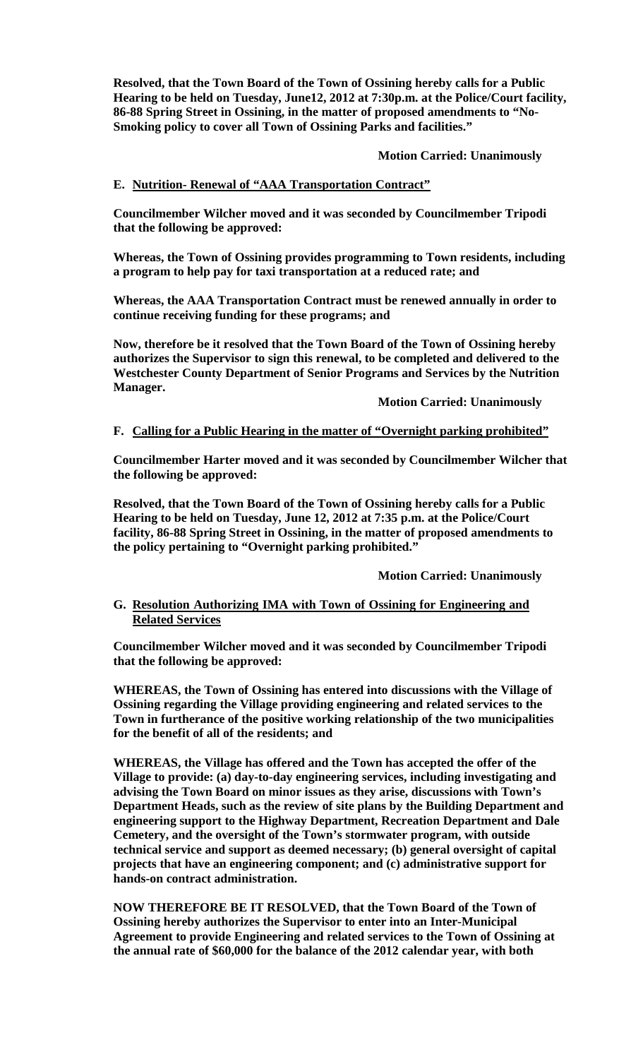**Resolved, that the Town Board of the Town of Ossining hereby calls for a Public Hearing to be held on Tuesday, June12, 2012 at 7:30p.m. at the Police/Court facility, 86-88 Spring Street in Ossining, in the matter of proposed amendments to "No-Smoking policy to cover all Town of Ossining Parks and facilities."**

**Motion Carried: Unanimously**

# **E. Nutrition- Renewal of "AAA Transportation Contract"**

**Councilmember Wilcher moved and it was seconded by Councilmember Tripodi that the following be approved:**

**Whereas, the Town of Ossining provides programming to Town residents, including a program to help pay for taxi transportation at a reduced rate; and**

**Whereas, the AAA Transportation Contract must be renewed annually in order to continue receiving funding for these programs; and**

**Now, therefore be it resolved that the Town Board of the Town of Ossining hereby authorizes the Supervisor to sign this renewal, to be completed and delivered to the Westchester County Department of Senior Programs and Services by the Nutrition Manager.**

**Motion Carried: Unanimously**

#### **F. Calling for a Public Hearing in the matter of "Overnight parking prohibited"**

**Councilmember Harter moved and it was seconded by Councilmember Wilcher that the following be approved:**

**Resolved, that the Town Board of the Town of Ossining hereby calls for a Public Hearing to be held on Tuesday, June 12, 2012 at 7:35 p.m. at the Police/Court facility, 86-88 Spring Street in Ossining, in the matter of proposed amendments to the policy pertaining to "Overnight parking prohibited."**

**Motion Carried: Unanimously**

# **G. Resolution Authorizing IMA with Town of Ossining for Engineering and Related Services**

**Councilmember Wilcher moved and it was seconded by Councilmember Tripodi that the following be approved:**

**WHEREAS, the Town of Ossining has entered into discussions with the Village of Ossining regarding the Village providing engineering and related services to the Town in furtherance of the positive working relationship of the two municipalities for the benefit of all of the residents; and**

**WHEREAS, the Village has offered and the Town has accepted the offer of the Village to provide: (a) day-to-day engineering services, including investigating and advising the Town Board on minor issues as they arise, discussions with Town's Department Heads, such as the review of site plans by the Building Department and engineering support to the Highway Department, Recreation Department and Dale Cemetery, and the oversight of the Town's stormwater program, with outside technical service and support as deemed necessary; (b) general oversight of capital projects that have an engineering component; and (c) administrative support for hands-on contract administration.**

**NOW THEREFORE BE IT RESOLVED, that the Town Board of the Town of Ossining hereby authorizes the Supervisor to enter into an Inter-Municipal Agreement to provide Engineering and related services to the Town of Ossining at the annual rate of \$60,000 for the balance of the 2012 calendar year, with both**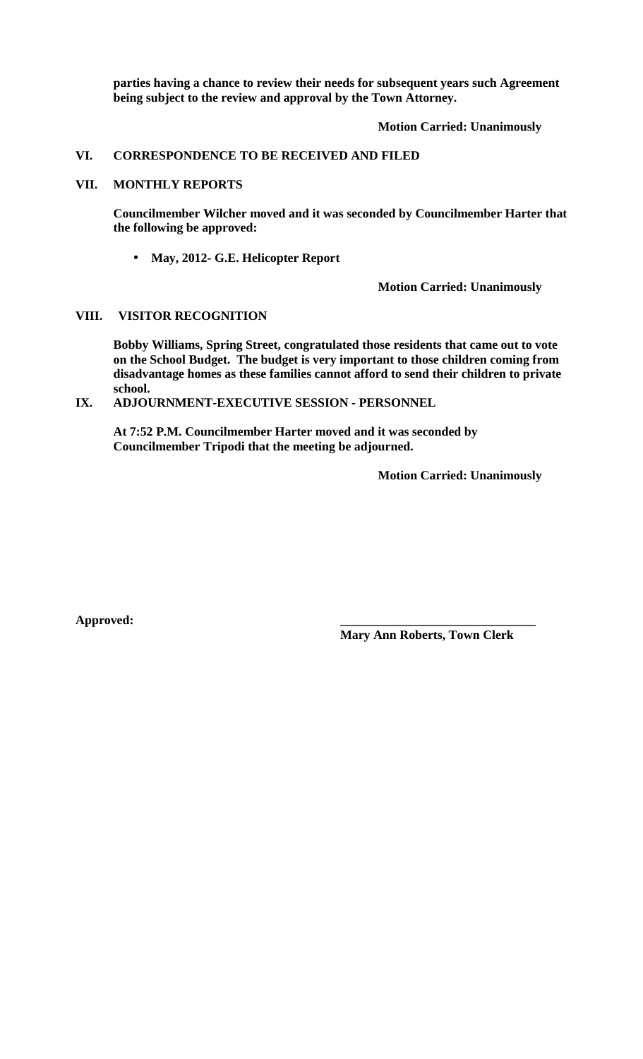**parties having a chance to review their needs for subsequent years such Agreement being subject to the review and approval by the Town Attorney.**

# **Motion Carried: Unanimously**

### **VI. CORRESPONDENCE TO BE RECEIVED AND FILED**

# **VII. MONTHLY REPORTS**

**Councilmember Wilcher moved and it was seconded by Councilmember Harter that the following be approved:**

**May, 2012- G.E. Helicopter Report** l,

**Motion Carried: Unanimously**

### **VIII. VISITOR RECOGNITION**

**Bobby Williams, Spring Street, congratulated those residents that came out to vote on the School Budget. The budget is very important to those children coming from disadvantage homes as these families cannot afford to send their children to private school.** 

**IX. ADJOURNMENT-EXECUTIVE SESSION - PERSONNEL**

**At 7:52 P.M. Councilmember Harter moved and it was seconded by Councilmember Tripodi that the meeting be adjourned.**

**Motion Carried: Unanimously** 

**Approved: \_\_\_\_\_\_\_\_\_\_\_\_\_\_\_\_\_\_\_\_\_\_\_\_\_\_\_\_\_\_\_**

**Mary Ann Roberts, Town Clerk**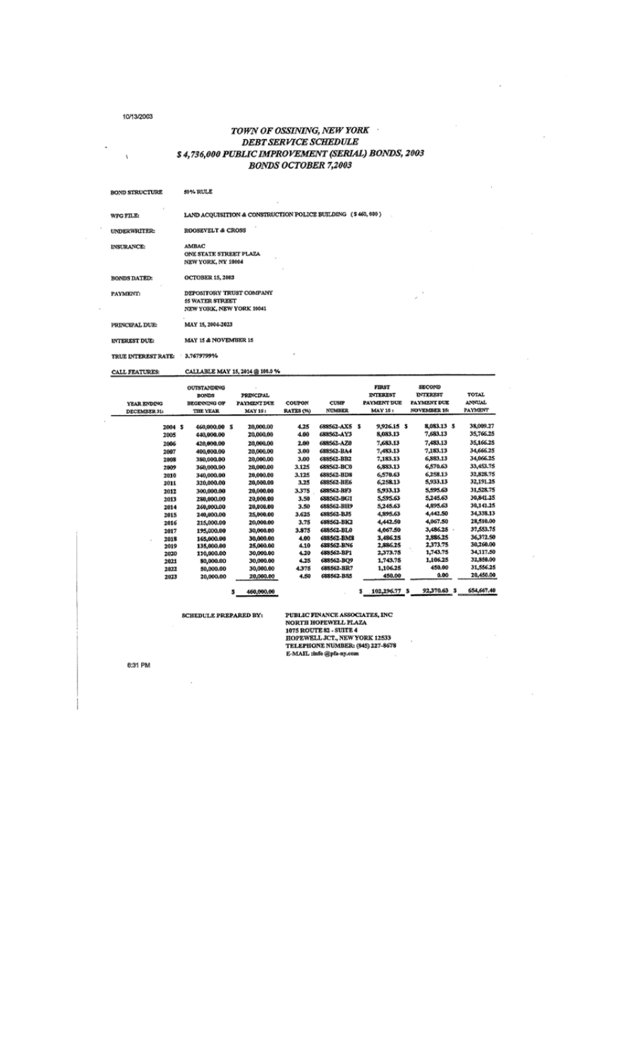#### 10/13/2003

 $\bar{V}$ 

 $\cdot$ 

 $\epsilon$ 

# TOWN OF OSSINING, NEW YORK **DEBT SERVICE SCHEDULE** S 4,736,000 PUBLIC IMPROVEMENT (SERIAL) BONDS, 2003<br>BONDS OCTOBER 7,2003

ï

 $\epsilon$ 

| <b>BOND STRUCTURE</b>          | 50% RULE                                                                |
|--------------------------------|-------------------------------------------------------------------------|
| WFG FILE:                      | LAND ACQUISITION & CONSTRUCTION POLICE BUILDING (\$460,000)             |
| <b>UNDERWRITER:</b>            | ROOSEVELT & CROSS                                                       |
| INSURANCE:                     | <b>AMBAC</b><br><b>ONE STATE STREET PLAZA</b><br>NEW YORK, NY 10004     |
| <b>BONDS DATED:</b>            | <b>OCTOBER 15, 2003</b>                                                 |
| PAYMENT:                       | DEPOSITORY TRUST COMPANY<br>55 WATER STREET<br>NEW YORK, NEW YORK 10041 |
| PRINCIPAL DUE:                 | MAY 15, 2004-2023                                                       |
| <b>INTEREST DUE:</b>           | MAY 15 & NOVEMBER 15                                                    |
| TRUE INTEREST RATE: 3.7679799% | ×                                                                       |
| <b>CALL FEATURES:</b>          | CALLABLE MAY 15, 2014 @ 100.0 %                                         |

| YEAR ENDING<br><b>DECEMBER 31:</b> | <b>OUTSTANDING</b><br><b>BONDS</b><br><b>BEGEVING OF</b><br><b>THE YEAR</b> | <b>PRINCIPAL</b><br><b>PAYMENT DUE</b><br><b>MAY 15:</b> | COUPON<br><b>RATES (%)</b> | <b>CUSTP</b><br><b>NUMBER</b> | <b>FIRST</b><br><b>INTEREST</b><br><b>PAYMENT DUE</b><br><b>MAY 15:</b> | <b>SECOND</b><br><b>INTEREST</b><br><b>PAYMENT DUE</b><br><b>NOVEMBER 16:</b> | <b>TOTAL</b><br><b>ANNUAL</b><br><b>PAYMENT</b> |
|------------------------------------|-----------------------------------------------------------------------------|----------------------------------------------------------|----------------------------|-------------------------------|-------------------------------------------------------------------------|-------------------------------------------------------------------------------|-------------------------------------------------|
| 2004S                              | 460,000.00 S                                                                | 20,000.00                                                | 4.25                       | 688562-AX5 \$                 | 9,926.15 \$                                                             | 8,083.13 \$                                                                   | 38,009.27                                       |
| 2005                               | 440,000,00                                                                  | 20,000.00                                                | 4.00                       | 688562-AY3                    | 8,083.13                                                                | 7,683.13                                                                      | 35,766.25                                       |
| 2006                               | 420,000.00                                                                  | 20,000,00                                                | 2.00                       | 688562-AZ0                    | 7,683.13                                                                | 7,483.13                                                                      | 35,166.25                                       |
| 2007                               | 400,000,00                                                                  | 20,000.00                                                | 3.00                       | 688562-BA4                    | 7,483.13                                                                | 7,183,13                                                                      | 34,666.25                                       |
| 2008                               | 380.000.00                                                                  | 20,000,00                                                | 3.00                       | 688562-BB2                    | 7,183.13                                                                | 6,883.13                                                                      | 34,066.25                                       |
| 2009                               | 360,000.00                                                                  | 28,000.00                                                | 3.125                      | 688562-BC0                    | 6,883,13                                                                | 6,570.63                                                                      | 33,453.75                                       |
| 2010                               | 340,000.00                                                                  | 20,000.00                                                | 3,125                      | 688562-BD8                    | 6,570.63                                                                | 6,258.13                                                                      | 32,828.75                                       |
| 2011                               | 320,000.00                                                                  | 20,000.00                                                | 3,25                       | 688562-BE6                    | 6,258.13                                                                | 5,933.13                                                                      | 32,191.25                                       |
| 2012                               | 300,000,00                                                                  | 20,000.00                                                | 3,375                      | G88562-BF3                    | 5,933.13                                                                | 5,595.63                                                                      | 31,528.75                                       |
| 2013                               | 280,000.00                                                                  | 20,000.00                                                | 3.50                       | 688562-BG1                    | 5,595.63                                                                | 5,245.63                                                                      | 30.841.25                                       |
| 2014                               | 260,000,00                                                                  | 20,000.00                                                | 3.50                       | 688562-BH9                    | 5,245.63                                                                | 4,895.63                                                                      | 38,141.25                                       |
| 2015                               | 240,000.00                                                                  | 25,000.00                                                | 3.625                      | 688562-BJ5                    | 4,895.63                                                                | 4,442.50                                                                      | 34,338.13                                       |
| 2016                               | 215,000,00                                                                  | 20,000.00                                                | 3.75                       | 688562-BK2                    | 4,442.50                                                                | 4,067.50                                                                      | 28,510.00                                       |
| 2017                               | 195,000.00                                                                  | 30,000.00                                                | 3.875                      | 688562-BL0                    | 4,067.50                                                                | 3,486.25 -                                                                    | 37,553.75                                       |
| 2018                               | 165,000.00                                                                  | 30,000.00                                                | 4.00                       | 688562-BM8                    | 3,486.25                                                                | 2.886.25                                                                      | 36,372.50                                       |
| 2019                               | 135,000.00                                                                  | 25,000.00                                                | 4.10                       | 688562-BN6                    | 2,886.25                                                                | 2,373.75                                                                      | 30,260.00                                       |
| 2020                               | 110,000.00                                                                  | 30,000.00                                                | 4.20                       | 688562-BP1                    | 2,373.75                                                                | 1,743.75                                                                      | 34,117.50                                       |
| 2021                               | 80,000.00                                                                   | 30,000.00                                                | 4,25                       | 688562-BO9                    | 1,743.75                                                                | 1,106.25                                                                      | 32,850.00                                       |
| 2022                               | 50,000.00                                                                   | 30,000.00                                                | 4.375                      | 688562-BR7                    | 1,106.25                                                                | 450.00                                                                        | 31,556.25                                       |
| 2023                               | 20,000,00                                                                   | 20,000.00                                                | 4.50                       | 688562-BS5                    | 450.00                                                                  | 0.00                                                                          | 28,450.00                                       |
|                                    |                                                                             | 460,000.00<br>3                                          |                            |                               | 102,296.77<br>s<br>s                                                    | 92,370.63 \$                                                                  | 654,667.40                                      |

 ${\bf SCHEDULE \; PREFARED \; BY:}$ 

**PUBLIC FINANCE ASSOCIATES, INC<br>NORTH HOPEWELL PLAZA<br>1075 ROUTE 82 - SUITE 4<br>HOPEWELL JCT., NEW YORK 12533<br>TELEPHONE NUMBER: (845) 227-8678<br>E-MAIL :info @pfa-ny.com** 

×

 $\overline{\phantom{a}}$ 

6:31 PM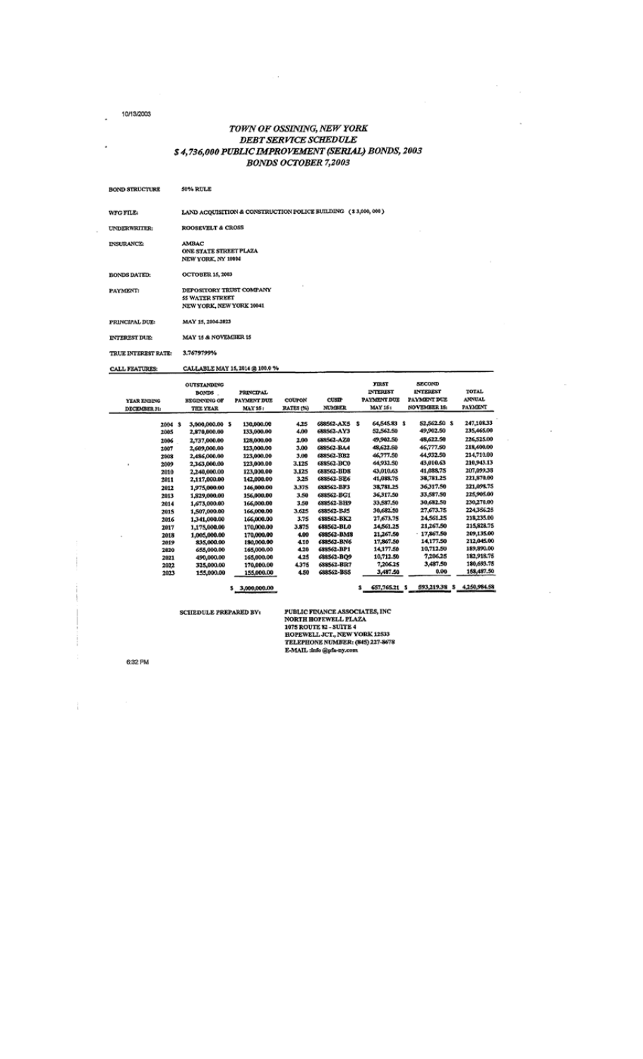L,

.

 $\ddot{\phantom{0}}$ 

# TOWN OF OSSINING, NEW YORK<br>DEBT SERVICE SCHEDULE \$4,736,000 PUBLIC IMPROVEMENT (SERIAL) BONDS, 2003 **BONDS OCTOBER 7,2003**

 $\sim$ 

| <b>BOND STRUCTURE</b> | 50% RULE                                                                       |
|-----------------------|--------------------------------------------------------------------------------|
| <b>WFG FILE:</b>      | LAND ACQUISITION & CONSTRUCTION POLICE BUILDING (\$3,000, 000)                 |
| UNDERWRITER:          | <b>ROOSEVELT &amp; CROSS</b>                                                   |
| <b>INSURANCE:</b>     | <b>AMBAC</b><br>ONE STATE STREET PLAZA<br>NEW YORK, NY 10004                   |
| <b>BONDS DATED:</b>   | <b>OCTOBER 15, 2003</b>                                                        |
| PAYMENT:              | DEPOSITORY TRUST COMPANY<br><b>55 WATER STREET</b><br>NEW YORK, NEW YORK 10041 |
| PRINCIPAL DUE:        | MAY 15, 2004-2023                                                              |
| <b>INTEREST DUE:</b>  | MAY 15 & NOVEMBER 15                                                           |
| TRUE INTEREST RATE:   | 3.7679799%                                                                     |
| <b>CALL FEATURES:</b> | CALLABLE MAY 15, 2014 @ 100.0 %                                                |

|              | <b>OUTSTANDING</b> |                    |                  |               | <b>FIRST</b>        | <b>SECOND</b>       |               |
|--------------|--------------------|--------------------|------------------|---------------|---------------------|---------------------|---------------|
|              | <b>BONDS</b>       | <b>PRINCIPAL</b>   |                  |               | <b>INTEREST</b>     | <b>INTEREST</b>     | TOTAL         |
| YEAR ENDING  | BEGINNING OF       | <b>PAYMENT DUE</b> | <b>COUPON</b>    | <b>CUSTP</b>  | <b>PAYMENT DUE</b>  | PAYMENT DUE         | <b>ANNUAL</b> |
| DECEMBER 31: | <b>THE YEAR</b>    | <b>MAY 15:</b>     | <b>RATES (%)</b> | <b>NUMBER</b> | <b>MAY 15:</b>      | <b>NOVEMBER 15:</b> | PAYMENT       |
|              |                    |                    |                  |               |                     |                     |               |
| 2004 \$      | 3,000,000.00 \$    | 130,000.00         | 4.25             | 688562-AX5 \$ | 64,545.83 \$        | 52,562.50 \$        | 247,108,33    |
| 2005         | 2,870,000.00       | 133,000.00         | 4.00             | 688562-AY3    | 52,562.50           | 49,902.50           | 235,465.00    |
| 2006         | 2,737,000.00       | 128,000.00         | 2.00             | 688562-AZ0    | 49,902.50           | 48,622.50           | 226,525.00    |
| 2007         | 2,609,000,00       | 123,000.00         | 3.00             | 688562-BA4    | 48,622.50           | 46,777.50           | 218,400.00    |
| 2008         | 2,486,000,00       | 123,000.00         | 3.00             | 688562-BB2    | 46,777.50           | 44,932.50           | 214,710.00    |
| 2009         | 2,363,000.00       | 123,000.00         | 3.125            | 688562-BC0    | 44,932.50           | 43,010.63           | 210,943.13    |
| 2010         | 2,240,000.00       | 123,000.00         | 3.125            | 688562-BD8    | 43,010,63           | 41,088,75           | 207,099.38    |
| 2011         | 2,117,000.00       | 142,000.00         | 3.25             | 688562-BE6    | 41,088.75           | 38,781.25           | 221,870.00    |
| 2012         | 1,975,000.00       | 146,000.00         | 3,375            | GSSSG2-BF3    | 38,781.25           | 36317.50            | 221,098.75    |
| 2013         | 1,829,000.00       | 156,000,00         | 3.50             | 688562-BG1    | 36,317,50           | 33,587.50           | 225,905.00    |
| 2014         | 1,673,000.00       | 166,000.00         | 3.50             | 688562-BH9    | 33,587.50           | 30,682.50           | 230,270.00    |
| 2015         | 1,507,000.00       | 166,000.00         | 3.625            | 688562-BJ5    | 30,682.50           | 27,673.75           | 224,356,25    |
| 2016         | 1,341,000.00       | 166,000.00         | 3.75             | 688562-BK2    | 27,673.75           | 24.561.25           | 218,235.00    |
| 2017         | 1,175,000.00       | 170,000.00         | 3.875            | 688562-BL0    | 24,561.25           | 21,267.50           | 215,828.75    |
| 2018         | 1,005,000.00       | 170,000.00         | 4.00             | 688562-BM8    | 21,267.50           | 17,867.50           | 209,135.00    |
| 2019         | 835,000.00         | 180,000.00         | 4.10             | 688562-BN6    | 17,867.50           | 14,177.50           | 212,045.00    |
| 2820         | 655,000.00         | 165,000.00         | 4.20             | 688562-BP1    | 14,177.50           | 10,712.50           | 189,890.00    |
| 2021         | 490,000.00         | 165,000.00         | 4.25             | 688562-BO9    | 10,712.50           | 7,206,25            | 182,918,75    |
| 2022         | 325,000.00         | 170,000.00         | 4,375            | 688562-BR7    | 7,206,25            | 3,487.50            | 180,693.75    |
| 2023         | 155,000.00         | 155,000.00         | 4.50             | 688562-BS5    | 3,487.50            | 0.00                | 158,487.50    |
|              |                    |                    |                  |               |                     |                     |               |
|              |                    | 3,000,000.00<br>s  |                  |               | 657,765.21 \$<br>3. | 593,219.38 \$       | 4,250,984.58  |

**SCHEDULE PREPARED BY:** 

**PUBLIC FINANCE ASSOCIATES, INC<br>NORTH HOFEWELL PLAZA<br>1075 ROUTE 82 - SUITE 4<br>HOPEWELL JCT., NEW YORK 12533<br>TELEPHONE NUMBER: (845) 227-8678<br>E-MAIL :info @pfa-ny.com** 

6:32 PM

 $\hat{1}$